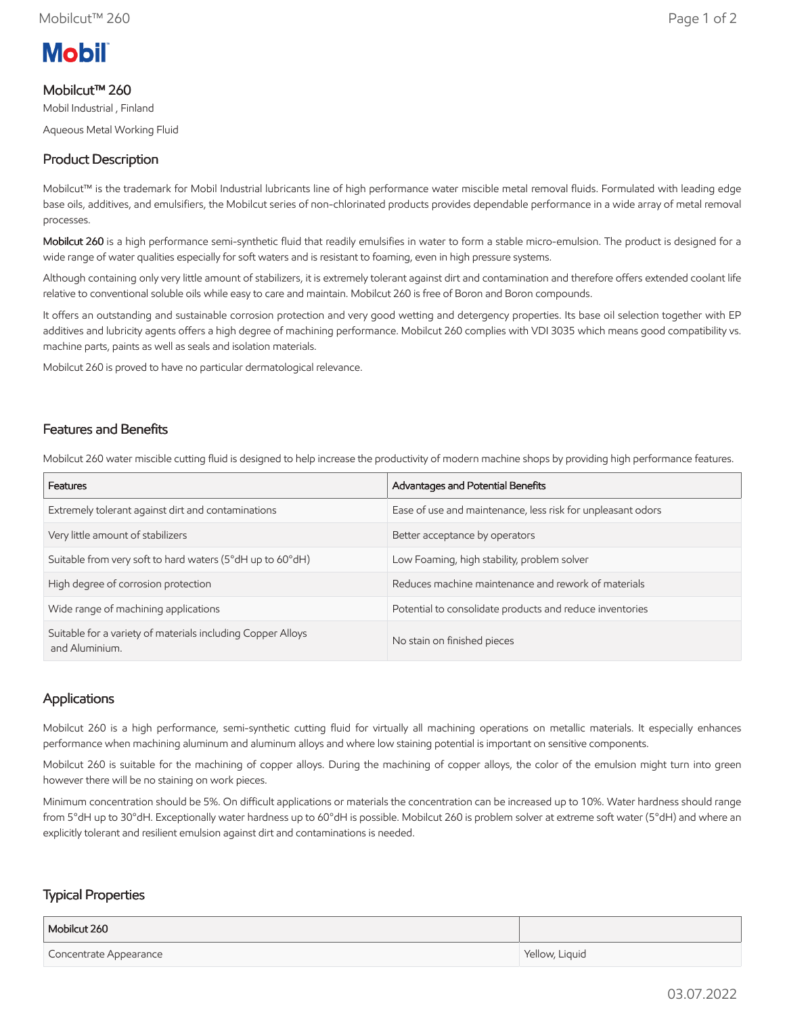

## Mobilcut™ 260

Mobil Industrial , Finland

Aqueous Metal Working Fluid

# Product Description

Mobilcut™ is the trademark for Mobil Industrial lubricants line of high performance water miscible metal removal fluids. Formulated with leading edge base oils, additives, and emulsifiers, the Mobilcut series of non-chlorinated products provides dependable performance in a wide array of metal removal processes.

Mobilcut 260 is a high performance semi-synthetic fluid that readily emulsifies in water to form a stable micro-emulsion. The product is designed for a wide range of water qualities especially for soft waters and is resistant to foaming, even in high pressure systems.

Although containing only very little amount of stabilizers, it is extremely tolerant against dirt and contamination and therefore offers extended coolant life relative to conventional soluble oils while easy to care and maintain. Mobilcut 260 is free of Boron and Boron compounds.

It offers an outstanding and sustainable corrosion protection and very good wetting and detergency properties. Its base oil selection together with EP additives and lubricity agents offers a high degree of machining performance. Mobilcut 260 complies with VDI 3035 which means good compatibility vs. machine parts, paints as well as seals and isolation materials.

Mobilcut 260 is proved to have no particular dermatological relevance.

## Features and Benefits

Mobilcut 260 water miscible cutting fluid is designed to help increase the productivity of modern machine shops by providing high performance features.

| Features                                                                      | Advantages and Potential Benefits                           |
|-------------------------------------------------------------------------------|-------------------------------------------------------------|
| Extremely tolerant against dirt and contaminations                            | Ease of use and maintenance, less risk for unpleasant odors |
| Very little amount of stabilizers                                             | Better acceptance by operators                              |
| Suitable from very soft to hard waters (5°dH up to 60°dH)                     | Low Foaming, high stability, problem solver                 |
| High degree of corrosion protection                                           | Reduces machine maintenance and rework of materials         |
| Wide range of machining applications                                          | Potential to consolidate products and reduce inventories    |
| Suitable for a variety of materials including Copper Alloys<br>and Aluminium. | No stain on finished pieces                                 |

## Applications

Mobilcut 260 is a high performance, semi-synthetic cutting fluid for virtually all machining operations on metallic materials. It especially enhances performance when machining aluminum and aluminum alloys and where low staining potential is important on sensitive components.

Mobilcut 260 is suitable for the machining of copper alloys. During the machining of copper alloys, the color of the emulsion might turn into green however there will be no staining on work pieces.

Minimum concentration should be 5%. On difficult applications or materials the concentration can be increased up to 10%. Water hardness should range from 5°dH up to 30°dH. Exceptionally water hardness up to 60°dH is possible. Mobilcut 260 is problem solver at extreme soft water (5°dH) and where an explicitly tolerant and resilient emulsion against dirt and contaminations is needed.

## Typical Properties

| Mobilcut 260           |                |
|------------------------|----------------|
| Concentrate Appearance | Yellow, Liquid |